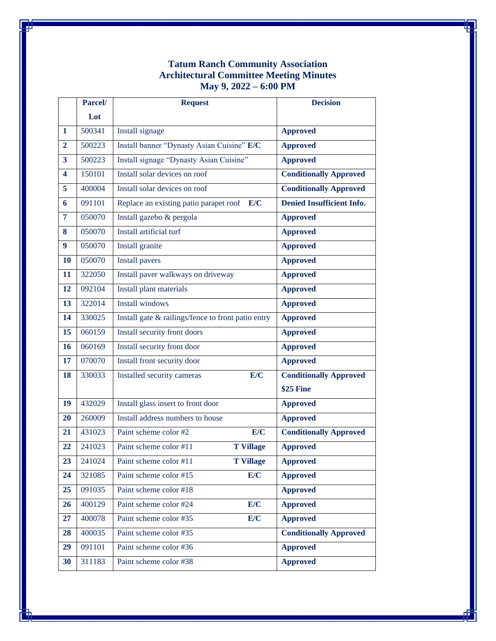## **Tatum Ranch Community Association Architectural Committee Meeting Minutes May 9, 2022 – 6:00 PM**

|                | Parcel/ | <b>Request</b>                                     | <b>Decision</b>                  |
|----------------|---------|----------------------------------------------------|----------------------------------|
|                | Lot     |                                                    |                                  |
| $\mathbf{1}$   | 500341  | Install signage                                    | <b>Approved</b>                  |
| $\overline{2}$ | 500223  | Install banner "Dynasty Asian Cuisine" E/C         | <b>Approved</b>                  |
| 3              | 500223  | Install signage "Dynasty Asian Cuisine"            | <b>Approved</b>                  |
| 4              | 150101  | Install solar devices on roof                      | <b>Conditionally Approved</b>    |
| 5              | 400004  | Install solar devices on roof                      | <b>Conditionally Approved</b>    |
| 6              | 091101  | Replace an existing patio parapet roof<br>E/C      | <b>Denied Insufficient Info.</b> |
| 7              | 050070  | Install gazebo & pergola                           | <b>Approved</b>                  |
| 8              | 050070  | Install artificial turf                            | <b>Approved</b>                  |
| 9              | 050070  | Install granite                                    | <b>Approved</b>                  |
| 10             | 050070  | <b>Install pavers</b>                              | <b>Approved</b>                  |
| 11             | 322050  | Install paver walkways on driveway                 | <b>Approved</b>                  |
| 12             | 092104  | Install plant materials                            | <b>Approved</b>                  |
| 13             | 322014  | <b>Install windows</b>                             | <b>Approved</b>                  |
| 14             | 330025  | Install gate & railings/fence to front patio entry | <b>Approved</b>                  |
| 15             | 060159  | Install security front doors                       | <b>Approved</b>                  |
| 16             | 060169  | Install security front door                        | <b>Approved</b>                  |
| 17             | 070070  | Install front security door                        | <b>Approved</b>                  |
| 18             | 330033  | E/C<br>Installed security cameras                  | <b>Conditionally Approved</b>    |
|                |         |                                                    | <b>\$25 Fine</b>                 |
| 19             | 432029  | Install glass insert to front door                 | <b>Approved</b>                  |
| 20             | 260009  | Install address numbers to house                   | <b>Approved</b>                  |
| 21             | 431023  | E/C<br>Paint scheme color #2                       | <b>Conditionally Approved</b>    |
| 22             | 241023  | <b>T</b> Village<br>Paint scheme color #11         | <b>Approved</b>                  |
| 23             | 241024  | Paint scheme color #11<br><b>T Village</b>         | <b>Approved</b>                  |
| 24             | 321085  | E/C<br>Paint scheme color #15                      | <b>Approved</b>                  |
| 25             | 091035  | Paint scheme color #18                             | <b>Approved</b>                  |
| 26             | 400129  | E/C<br>Paint scheme color #24                      | <b>Approved</b>                  |
| 27             | 400078  | Paint scheme color #35<br>E/C                      | <b>Approved</b>                  |
| 28             | 400035  | Paint scheme color #35                             | <b>Conditionally Approved</b>    |
| 29             | 091101  | Paint scheme color #36                             | <b>Approved</b>                  |
| 30             | 311183  | Paint scheme color #38                             | <b>Approved</b>                  |